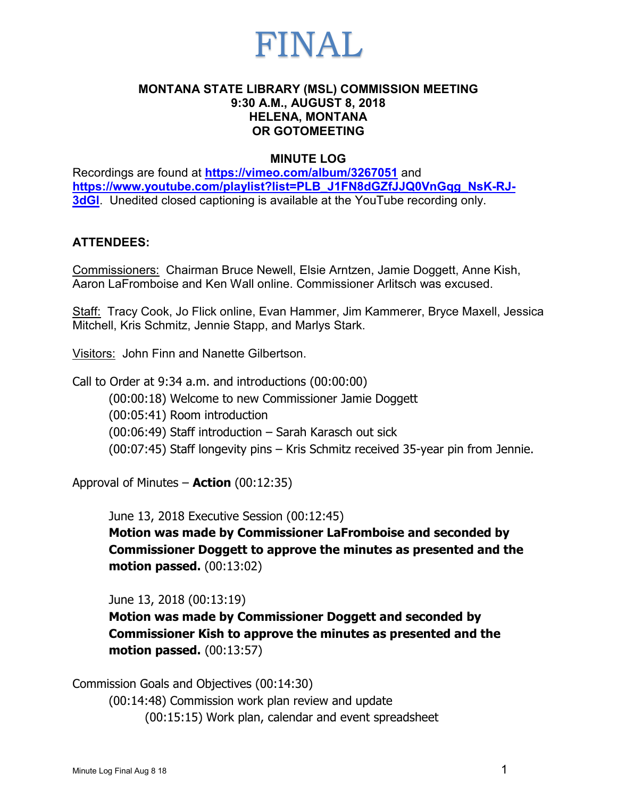

### **MONTANA STATE LIBRARY (MSL) COMMISSION MEETING 9:30 A.M., AUGUST 8, 2018 HELENA, MONTANA OR GOTOMEETING**

#### **MINUTE LOG**

Recordings are found at **<https://vimeo.com/album/3267051>** and **[https://www.youtube.com/playlist?list=PLB\\_J1FN8dGZfJJQ0VnGqg\\_NsK-RJ-](https://www.youtube.com/playlist?list=PLB_J1FN8dGZfJJQ0VnGqg_NsK-RJ-3dGl)3dGI**. Unedited closed captioning is available at the YouTube recording only.

### **ATTENDEES:**

Commissioners: Chairman Bruce Newell, Elsie Arntzen, Jamie Doggett, Anne Kish, Aaron LaFromboise and Ken Wall online. Commissioner Arlitsch was excused.

Staff: Tracy Cook, Jo Flick online, Evan Hammer, Jim Kammerer, Bryce Maxell, Jessica Mitchell, Kris Schmitz, Jennie Stapp, and Marlys Stark.

Visitors: John Finn and Nanette Gilbertson.

Call to Order at 9:34 a.m. and introductions (00:00:00) (00:00:18) Welcome to new Commissioner Jamie Doggett (00:05:41) Room introduction (00:06:49) Staff introduction – Sarah Karasch out sick (00:07:45) Staff longevity pins – Kris Schmitz received 35-year pin from Jennie.

Approval of Minutes – **Action** (00:12:35)

June 13, 2018 Executive Session (00:12:45)

**Motion was made by Commissioner LaFromboise and seconded by Commissioner Doggett to approve the minutes as presented and the motion passed.** (00:13:02)

June 13, 2018 (00:13:19)

**Motion was made by Commissioner Doggett and seconded by Commissioner Kish to approve the minutes as presented and the motion passed.** (00:13:57)

Commission Goals and Objectives (00:14:30) (00:14:48) Commission work plan review and update (00:15:15) Work plan, calendar and event spreadsheet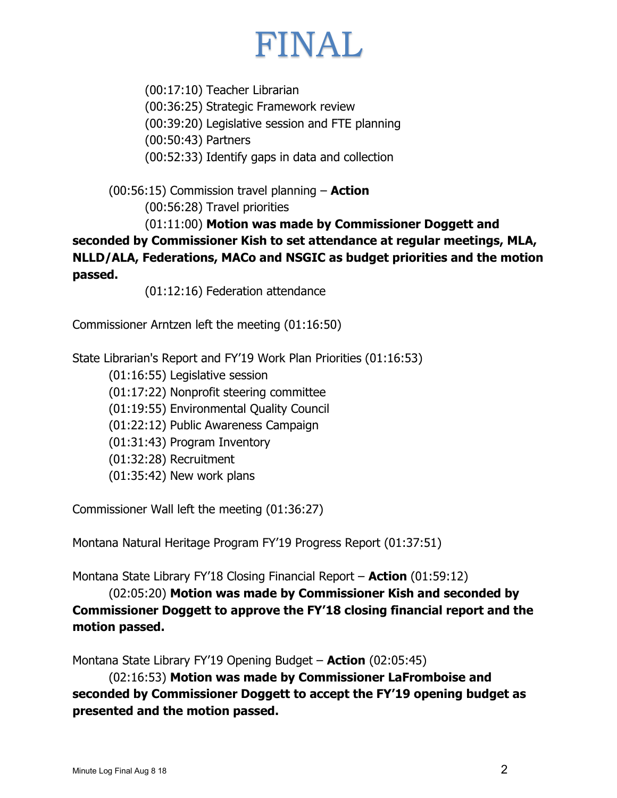### FINAL

(00:17:10) Teacher Librarian (00:36:25) Strategic Framework review (00:39:20) Legislative session and FTE planning (00:50:43) Partners (00:52:33) Identify gaps in data and collection

(00:56:15) Commission travel planning – **Action** (00:56:28) Travel priorities

(01:11:00) **Motion was made by Commissioner Doggett and seconded by Commissioner Kish to set attendance at regular meetings, MLA, NLLD/ALA, Federations, MACo and NSGIC as budget priorities and the motion passed.**

(01:12:16) Federation attendance

Commissioner Arntzen left the meeting (01:16:50)

State Librarian's Report and FY'19 Work Plan Priorities (01:16:53)

(01:16:55) Legislative session (01:17:22) Nonprofit steering committee (01:19:55) Environmental Quality Council (01:22:12) Public Awareness Campaign (01:31:43) Program Inventory (01:32:28) Recruitment (01:35:42) New work plans

Commissioner Wall left the meeting (01:36:27)

Montana Natural Heritage Program FY'19 Progress Report (01:37:51)

Montana State Library FY'18 Closing Financial Report – **Action** (01:59:12)

(02:05:20) **Motion was made by Commissioner Kish and seconded by Commissioner Doggett to approve the FY'18 closing financial report and the motion passed.**

Montana State Library FY'19 Opening Budget – **Action** (02:05:45)

(02:16:53) **Motion was made by Commissioner LaFromboise and seconded by Commissioner Doggett to accept the FY'19 opening budget as presented and the motion passed.**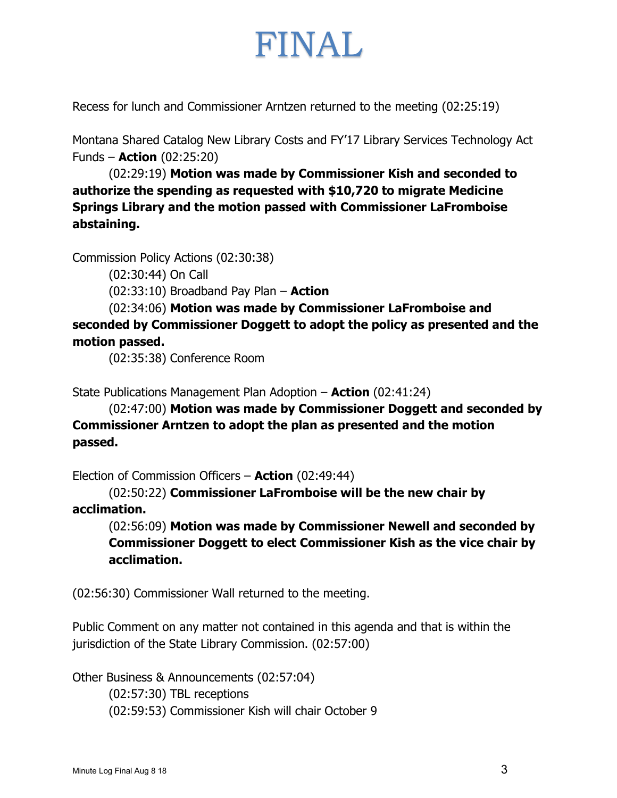# FINAL

Recess for lunch and Commissioner Arntzen returned to the meeting (02:25:19)

Montana Shared Catalog New Library Costs and FY'17 Library Services Technology Act Funds – **Action** (02:25:20)

(02:29:19) **Motion was made by Commissioner Kish and seconded to authorize the spending as requested with \$10,720 to migrate Medicine Springs Library and the motion passed with Commissioner LaFromboise abstaining.**

Commission Policy Actions (02:30:38)

(02:30:44) On Call

(02:33:10) Broadband Pay Plan – **Action**

(02:34:06) **Motion was made by Commissioner LaFromboise and seconded by Commissioner Doggett to adopt the policy as presented and the motion passed.**

(02:35:38) Conference Room

State Publications Management Plan Adoption – **Action** (02:41:24)

(02:47:00) **Motion was made by Commissioner Doggett and seconded by Commissioner Arntzen to adopt the plan as presented and the motion passed.**

Election of Commission Officers – **Action** (02:49:44)

(02:50:22) **Commissioner LaFromboise will be the new chair by acclimation.**

(02:56:09) **Motion was made by Commissioner Newell and seconded by Commissioner Doggett to elect Commissioner Kish as the vice chair by acclimation.**

(02:56:30) Commissioner Wall returned to the meeting.

Public Comment on any matter not contained in this agenda and that is within the jurisdiction of the State Library Commission. (02:57:00)

Other Business & Announcements (02:57:04) (02:57:30) TBL receptions (02:59:53) Commissioner Kish will chair October 9